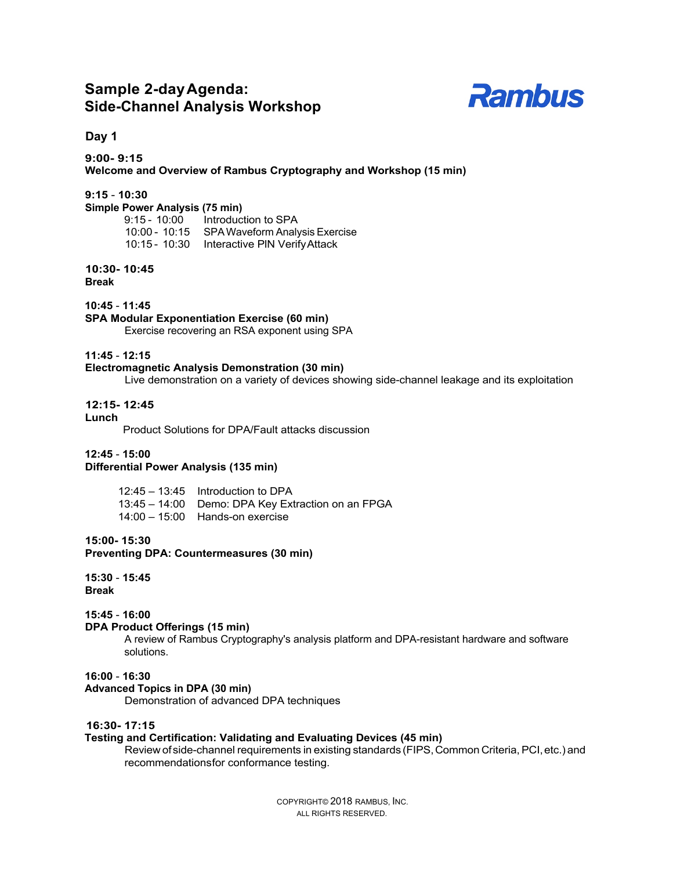# **Sample 2-dayAgenda: Side-Channel Analysis Workshop**



## **Day 1**

**9:00- 9:15 Welcome and Overview of Rambus Cryptography and Workshop (15 min)**

## **9:15** - **10:30**

**Simple Power Analysis (75 min)**

| $9:15 - 10:00$ | Introduction to SPA                         |
|----------------|---------------------------------------------|
| 10:00 - 10:15  | SPA Waveform Analysis Exercise              |
|                | 10:15 - 10:30 Interactive PIN Verify Attack |

## **10:30- 10:45**

**Break**

 **10:45** - **11:45**

#### **SPA Modular Exponentiation Exercise (60 min)**

Exercise recovering an RSA exponent using SPA

## **11:45** - **12:15**

## **Electromagnetic Analysis Demonstration (30 min)**

Live demonstration on a variety of devices showing side-channel leakage and its exploitation

## **12:15- 12:45**

**Lunch**

Product Solutions for DPA/Fault attacks discussion

#### **12:45** - **15:00**

## **Differential Power Analysis (135 min)**

| $12:45 - 13:45$ Introduction to DPA               |
|---------------------------------------------------|
| 13:45 – 14:00 Demo: DPA Key Extraction on an FPGA |
| $14:00 - 15:00$ Hands-on exercise                 |

## **15:00- 15:30**

**Preventing DPA: Countermeasures (30 min)**

 **15:30** - **15:45 Break**

## **15:45** - **16:00**

#### **DPA Product Offerings (15 min)**

A review of Rambus Cryptography's analysis platform and DPA-resistant hardware and software solutions.

## **16:00** - **16:30**

**Advanced Topics in DPA (30 min)** Demonstration of advanced DPA techniques

## **16:30- 17:15**

## **Testing and Certification: Validating and Evaluating Devices (45 min)**

Review of side-channel requirements in existing standards (FIPS, Common Criteria, PCI, etc.) and recommendationsfor conformance testing.

> COPYRIGHT© 2018 RAMBUS, INC. ALL RIGHTS RESERVED.